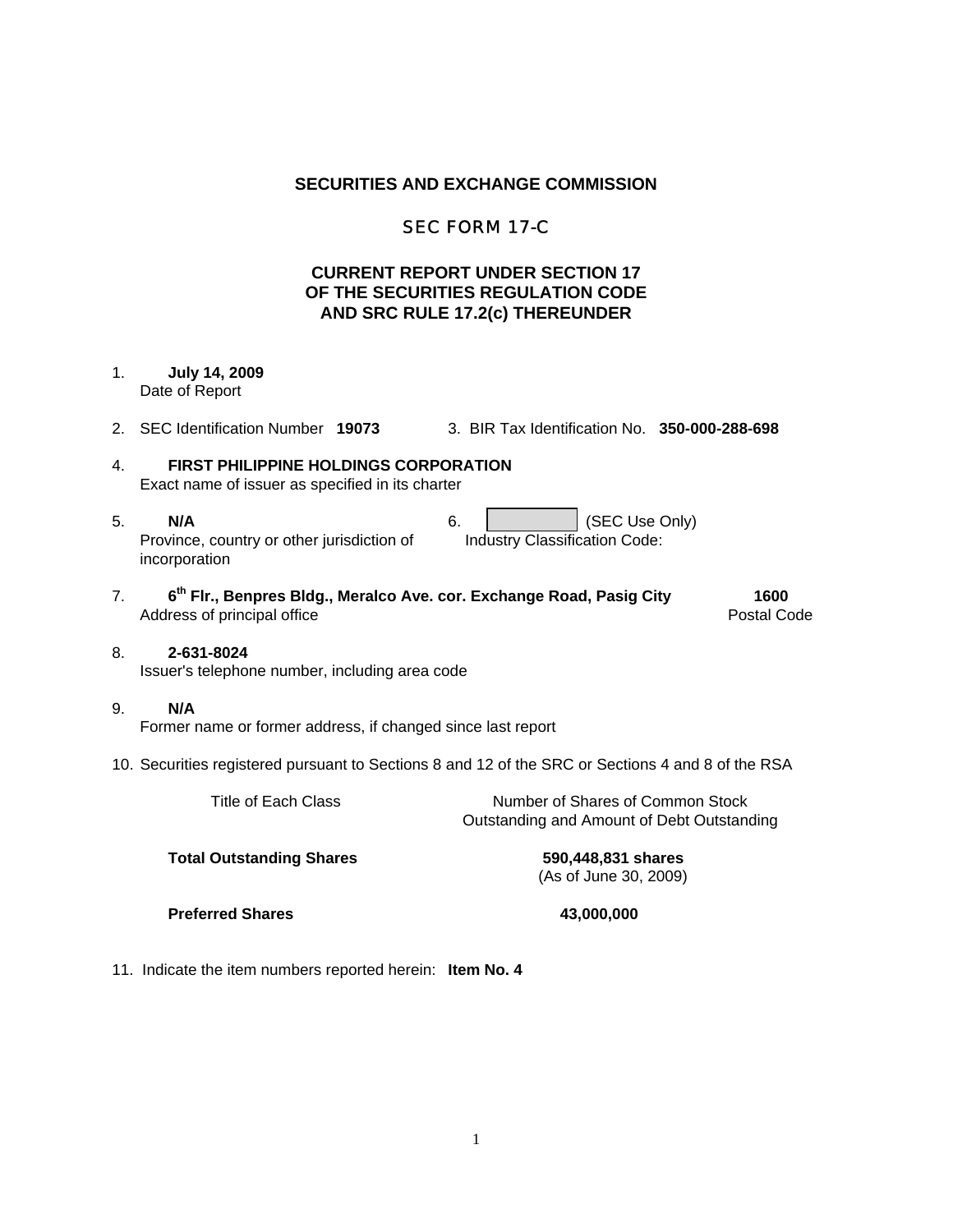## **SECURITIES AND EXCHANGE COMMISSION**

# SEC FORM 17-C

# **CURRENT REPORT UNDER SECTION 17 OF THE SECURITIES REGULATION CODE AND SRC RULE 17.2(c) THEREUNDER**

### 1. **July 14, 2009**  Date of Report

2. SEC Identification Number **19073** 3. BIR Tax Identification No. **350-000-288-698**

# 4. **FIRST PHILIPPINE HOLDINGS CORPORATION**

Exact name of issuer as specified in its charter

- 5. **N/A** 6. (SEC Use Only) Province, country or other jurisdiction of incorporation Industry Classification Code:
- 7. **6th Flr., Benpres Bldg., Meralco Ave. cor. Exchange Road, Pasig City 1600** Address of principal office **Postal Code** Postal Code

### 8. **2-631-8024** Issuer's telephone number, including area code

9. **N/A**

Former name or former address, if changed since last report

10. Securities registered pursuant to Sections 8 and 12 of the SRC or Sections 4 and 8 of the RSA

| Title of Each Class             | Number of Shares of Common Stock<br>Outstanding and Amount of Debt Outstanding |
|---------------------------------|--------------------------------------------------------------------------------|
| <b>Total Outstanding Shares</b> | 590,448,831 shares<br>(As of June 30, 2009)                                    |

**Preferred Shares 43,000,000** 

11. Indicate the item numbers reported herein: **Item No. 4**